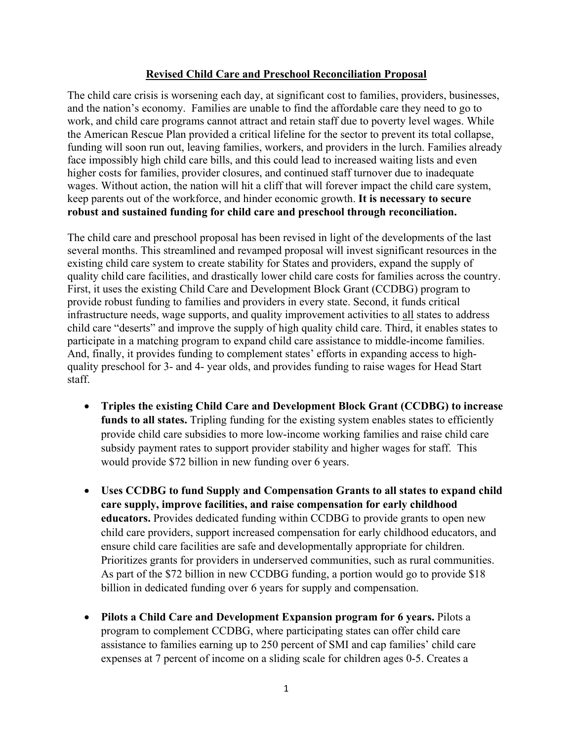## **Revised Child Care and Preschool Reconciliation Proposal**

The child care crisis is worsening each day, at significant cost to families, providers, businesses, and the nation's economy. Families are unable to find the affordable care they need to go to work, and child care programs cannot attract and retain staff due to poverty level wages. While the American Rescue Plan provided a critical lifeline for the sector to prevent its total collapse, funding will soon run out, leaving families, workers, and providers in the lurch. Families already face impossibly high child care bills, and this could lead to increased waiting lists and even higher costs for families, provider closures, and continued staff turnover due to inadequate wages. Without action, the nation will hit a cliff that will forever impact the child care system, keep parents out of the workforce, and hinder economic growth. **It is necessary to secure robust and sustained funding for child care and preschool through reconciliation.**

The child care and preschool proposal has been revised in light of the developments of the last several months. This streamlined and revamped proposal will invest significant resources in the existing child care system to create stability for States and providers, expand the supply of quality child care facilities, and drastically lower child care costs for families across the country. First, it uses the existing Child Care and Development Block Grant (CCDBG) program to provide robust funding to families and providers in every state. Second, it funds critical infrastructure needs, wage supports, and quality improvement activities to all states to address child care "deserts" and improve the supply of high quality child care. Third, it enables states to participate in a matching program to expand child care assistance to middle-income families. And, finally, it provides funding to complement states' efforts in expanding access to highquality preschool for 3- and 4- year olds, and provides funding to raise wages for Head Start staff.

- **Triples the existing Child Care and Development Block Grant (CCDBG) to increase**  funds to all states. Tripling funding for the existing system enables states to efficiently provide child care subsidies to more low-income working families and raise child care subsidy payment rates to support provider stability and higher wages for staff. This would provide \$72 billion in new funding over 6 years.
- **Uses CCDBG to fund Supply and Compensation Grants to all states to expand child care supply, improve facilities, and raise compensation for early childhood educators.** Provides dedicated funding within CCDBG to provide grants to open new child care providers, support increased compensation for early childhood educators, and ensure child care facilities are safe and developmentally appropriate for children. Prioritizes grants for providers in underserved communities, such as rural communities. As part of the \$72 billion in new CCDBG funding, a portion would go to provide \$18 billion in dedicated funding over 6 years for supply and compensation.
- **Pilots a Child Care and Development Expansion program for 6 years.** Pilots a program to complement CCDBG, where participating states can offer child care assistance to families earning up to 250 percent of SMI and cap families' child care expenses at 7 percent of income on a sliding scale for children ages 0-5. Creates a